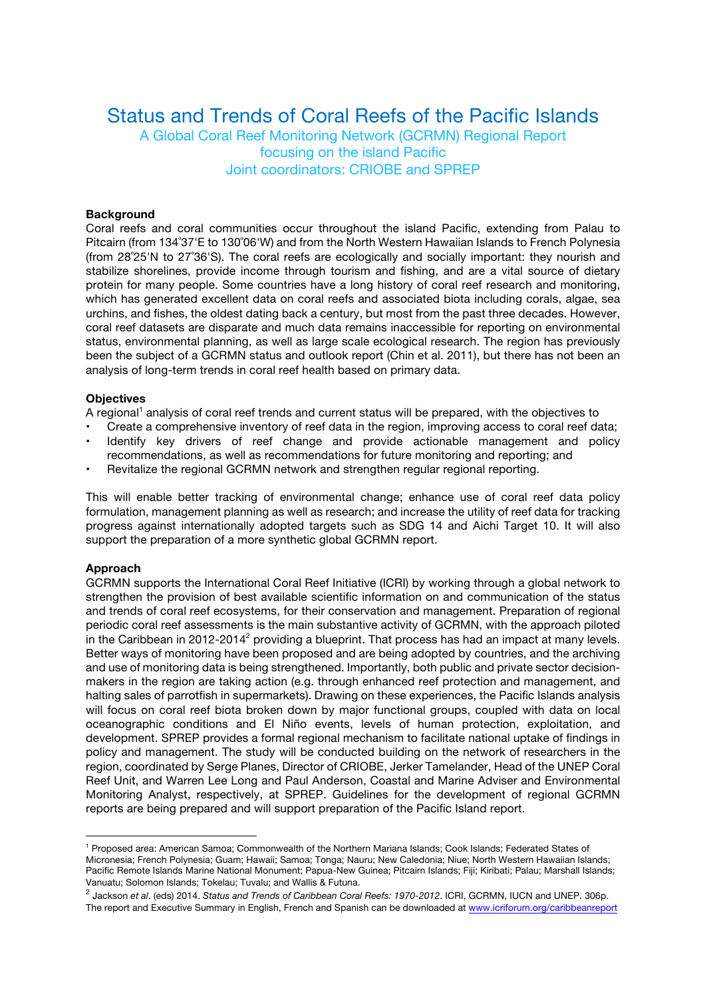# Status and Trends of Coral Reefs of the Pacific Islands

A Global Coral Reef Monitoring Network (GCRMN) Regional Report focusing on the island Pacific Joint coordinators: CRIOBE and SPREP

#### **Background**

Coral reefs and coral communities occur throughout the island Pacific, extending from Palau to Pitcairn (from 134˚37'E to 130˚06'W) and from the North Western Hawaiian Islands to French Polynesia (from 28˚25'N to 27˚36'S). The coral reefs are ecologically and socially important: they nourish and stabilize shorelines, provide income through tourism and fishing, and are a vital source of dietary protein for many people. Some countries have a long history of coral reef research and monitoring, which has generated excellent data on coral reefs and associated biota including corals, algae, sea urchins, and fishes, the oldest dating back a century, but most from the past three decades. However, coral reef datasets are disparate and much data remains inaccessible for reporting on environmental status, environmental planning, as well as large scale ecological research. The region has previously been the subject of a GCRMN status and outlook report (Chin et al. 2011), but there has not been an analysis of long-term trends in coral reef health based on primary data.

#### **Objectives**

A regional<sup>1</sup> analysis of coral reef trends and current status will be prepared, with the objectives to

- Create a comprehensive inventory of reef data in the region, improving access to coral reef data;
- Identify key drivers of reef change and provide actionable management and policy recommendations, as well as recommendations for future monitoring and reporting; and
- Revitalize the regional GCRMN network and strengthen regular regional reporting.

This will enable better tracking of environmental change; enhance use of coral reef data policy formulation, management planning as well as research; and increase the utility of reef data for tracking progress against internationally adopted targets such as SDG 14 and Aichi Target 10. It will also support the preparation of a more synthetic global GCRMN report.

#### **Approach**

 $\overline{a}$ 

GCRMN supports the International Coral Reef Initiative (ICRI) by working through a global network to strengthen the provision of best available scientific information on and communication of the status and trends of coral reef ecosystems, for their conservation and management. Preparation of regional periodic coral reef assessments is the main substantive activity of GCRMN, with the approach piloted in the Caribbean in 2012-2014<sup>2</sup> providing a blueprint. That process has had an impact at many levels. Better ways of monitoring have been proposed and are being adopted by countries, and the archiving and use of monitoring data is being strengthened. Importantly, both public and private sector decisionmakers in the region are taking action (e.g. through enhanced reef protection and management, and halting sales of parrotfish in supermarkets). Drawing on these experiences, the Pacific Islands analysis will focus on coral reef biota broken down by major functional groups, coupled with data on local oceanographic conditions and El Niño events, levels of human protection, exploitation, and development. SPREP provides a formal regional mechanism to facilitate national uptake of findings in policy and management. The study will be conducted building on the network of researchers in the region, coordinated by Serge Planes, Director of CRIOBE, Jerker Tamelander, Head of the UNEP Coral Reef Unit, and Warren Lee Long and Paul Anderson, Coastal and Marine Adviser and Environmental Monitoring Analyst, respectively, at SPREP. Guidelines for the development of regional GCRMN reports are being prepared and will support preparation of the Pacific Island report.

<sup>1</sup> Proposed area: American Samoa; Commonwealth of the Northern Mariana Islands; Cook Islands; Federated States of Micronesia; French Polynesia; Guam; Hawaii; Samoa; Tonga; Nauru; New Caledonia; Niue; North Western Hawaiian Islands; Pacific Remote Islands Marine National Monument; Papua-New Guinea; Pitcairn Islands; Fiji; Kiribati; Palau; Marshall Islands; Vanuatu; Solomon Islands; Tokelau; Tuvalu; and Wallis & Futuna.

<sup>2</sup> Jackson *et al*. (eds) 2014. *Status and Trends of Caribbean Coral Reefs: 1970-2012*. ICRI, GCRMN, IUCN and UNEP. 306p. The report and Executive Summary in English, French and Spanish can be downloaded at www.icriforum.org/caribbeanreport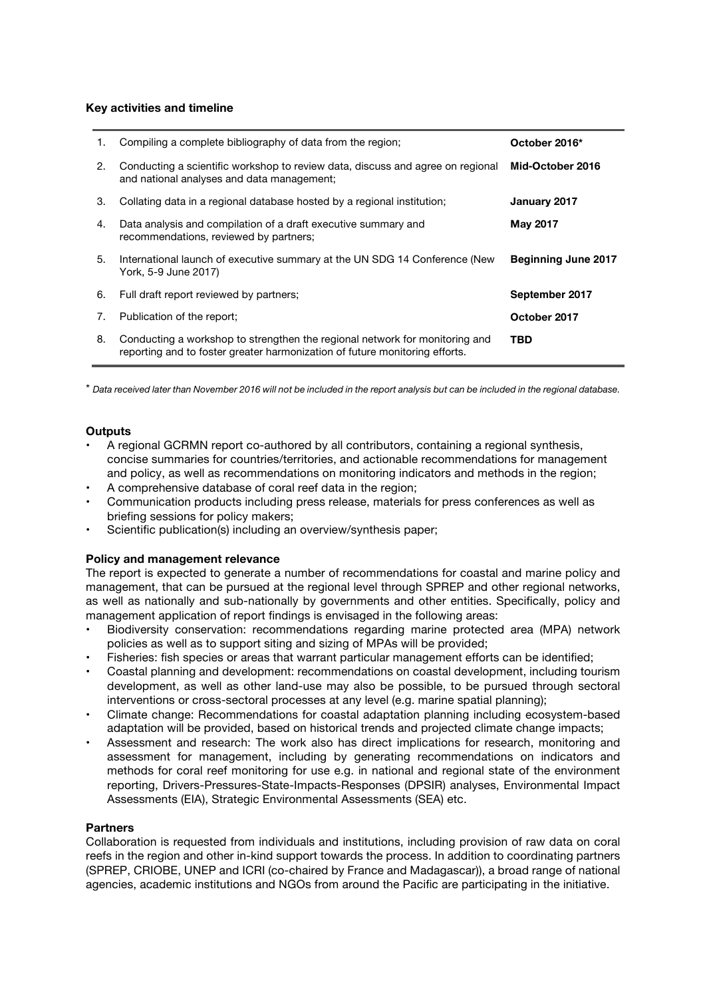### **Key activities and timeline**

| 1. | Compiling a complete bibliography of data from the region;                                                                                                 | October 2016*              |
|----|------------------------------------------------------------------------------------------------------------------------------------------------------------|----------------------------|
| 2. | Conducting a scientific workshop to review data, discuss and agree on regional<br>and national analyses and data management;                               | Mid-October 2016           |
| 3. | Collating data in a regional database hosted by a regional institution;                                                                                    | January 2017               |
| 4. | Data analysis and compilation of a draft executive summary and<br>recommendations, reviewed by partners;                                                   | <b>May 2017</b>            |
| 5. | International launch of executive summary at the UN SDG 14 Conference (New<br>York, 5-9 June 2017)                                                         | <b>Beginning June 2017</b> |
| 6. | Full draft report reviewed by partners:                                                                                                                    | September 2017             |
| 7. | Publication of the report;                                                                                                                                 | October 2017               |
| 8. | Conducting a workshop to strengthen the regional network for monitoring and<br>reporting and to foster greater harmonization of future monitoring efforts. | TBD                        |

\* Data received later than November 2016 will not be included in the report analysis but can be included in the regional database.

#### **Outputs**

- A regional GCRMN report co-authored by all contributors, containing a regional synthesis, concise summaries for countries/territories, and actionable recommendations for management and policy, as well as recommendations on monitoring indicators and methods in the region;
- A comprehensive database of coral reef data in the region;
- Communication products including press release, materials for press conferences as well as briefing sessions for policy makers;
- Scientific publication(s) including an overview/synthesis paper;

## **Policy and management relevance**

The report is expected to generate a number of recommendations for coastal and marine policy and management, that can be pursued at the regional level through SPREP and other regional networks, as well as nationally and sub-nationally by governments and other entities. Specifically, policy and management application of report findings is envisaged in the following areas:

- Biodiversity conservation: recommendations regarding marine protected area (MPA) network policies as well as to support siting and sizing of MPAs will be provided;
- Fisheries: fish species or areas that warrant particular management efforts can be identified;
- Coastal planning and development: recommendations on coastal development, including tourism development, as well as other land-use may also be possible, to be pursued through sectoral interventions or cross-sectoral processes at any level (e.g. marine spatial planning);
- Climate change: Recommendations for coastal adaptation planning including ecosystem-based adaptation will be provided, based on historical trends and projected climate change impacts;
- Assessment and research: The work also has direct implications for research, monitoring and assessment for management, including by generating recommendations on indicators and methods for coral reef monitoring for use e.g. in national and regional state of the environment reporting, Drivers-Pressures-State-Impacts-Responses (DPSIR) analyses, Environmental Impact Assessments (EIA), Strategic Environmental Assessments (SEA) etc.

#### **Partners**

Collaboration is requested from individuals and institutions, including provision of raw data on coral reefs in the region and other in-kind support towards the process. In addition to coordinating partners (SPREP, CRIOBE, UNEP and ICRI (co-chaired by France and Madagascar)), a broad range of national agencies, academic institutions and NGOs from around the Pacific are participating in the initiative.